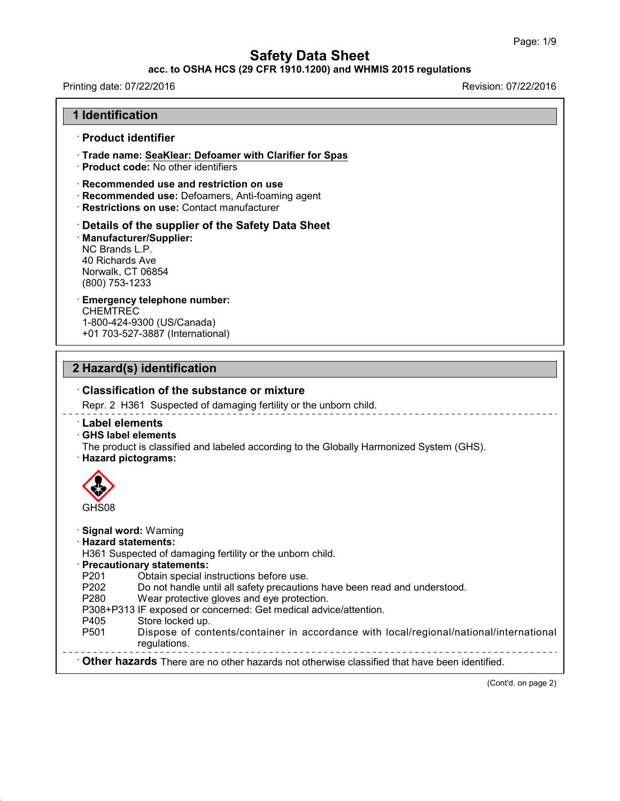## **acc. to OSHA HCS (29 CFR 1910.1200) and WHMIS 2015 regulations**

Printing date: 07/22/2016 **Revision: 07/22/2016** 

43.0

| <b>1 Identification</b>                                                                                                                                                          |
|----------------------------------------------------------------------------------------------------------------------------------------------------------------------------------|
| $\, \cdot$ Product identifier                                                                                                                                                    |
| Trade name: SeaKlear: Defoamer with Clarifier for Spas<br>· Product code: No other identifiers                                                                                   |
| · Recommended use and restriction on use<br>Recommended use: Defoamers, Anti-foaming agent<br>· Restrictions on use: Contact manufacturer                                        |
| Details of the supplier of the Safety Data Sheet<br>· Manufacturer/Supplier:<br>NC Brands L.P.<br>40 Richards Ave<br>Norwalk, CT 06854<br>(800) 753-1233                         |
| <b>Emergency telephone number:</b><br><b>CHEMTREC</b><br>1-800-424-9300 (US/Canada)<br>+01 703-527-3887 (International)                                                          |
| 2 Hazard(s) identification                                                                                                                                                       |
| <b>Classification of the substance or mixture</b>                                                                                                                                |
| Repr. 2 H361 Suspected of damaging fertility or the unborn child.                                                                                                                |
| $\cdot$ Label elements<br>GHS label elements<br>The product is classified and labeled according to the Globally Harmonized System (GHS).<br>· Hazard pictograms:                 |
|                                                                                                                                                                                  |
|                                                                                                                                                                                  |
| GHS08                                                                                                                                                                            |
| <b>Signal word: Warning</b><br><b>Hazard statements:</b><br>H361 Suspected of damaging fertility or the unborn child.                                                            |
| <b>Precautionary statements:</b><br>P201<br>Obtain special instructions before use.<br>P202<br>Do not handle until all safety precautions have been read and understood.<br>P280 |
| Wear protective gloves and eye protection.<br>P308+P313 IF exposed or concerned: Get medical advice/attention.<br>P405<br>Store locked up.                                       |
| P501<br>Dispose of contents/container in accordance with local/regional/national/international<br>regulations.                                                                   |

(Cont'd. on page 2)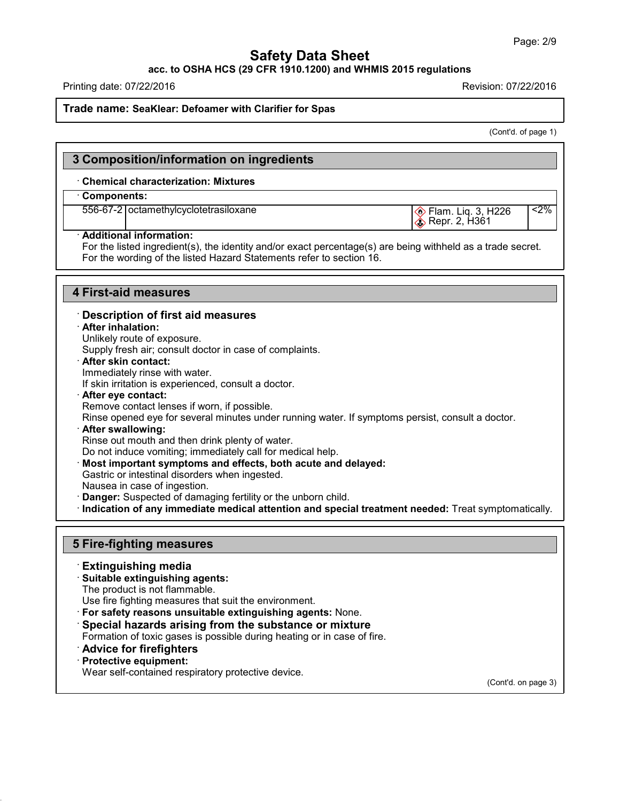**acc. to OSHA HCS (29 CFR 1910.1200) and WHMIS 2015 regulations**

Printing date: 07/22/2016 Revision: 07/22/2016

#### **Trade name: SeaKlear: Defoamer with Clarifier for Spas**

(Cont'd. of page 1)

| 3 Composition/information on ingredients   |                                               |       |
|--------------------------------------------|-----------------------------------------------|-------|
| <b>Chemical characterization: Mixtures</b> |                                               |       |
| $\cdot$ Components:                        |                                               |       |
| 556-67-2 octamethylcyclotetrasiloxane      | Elam. Liq. 3, H226<br><b> S</b> Repr. 2, H361 | $2\%$ |
| · Additional information:                  |                                               |       |

For the listed ingredient(s), the identity and/or exact percentage(s) are being withheld as a trade secret. For the wording of the listed Hazard Statements refer to section 16.

#### **4 First-aid measures**

#### · **Description of first aid measures**

#### · **After inhalation:**

Unlikely route of exposure.

Supply fresh air; consult doctor in case of complaints.

· **After skin contact:**

Immediately rinse with water.

If skin irritation is experienced, consult a doctor.

· **After eye contact:** Remove contact lenses if worn, if possible. Rinse opened eye for several minutes under running water. If symptoms persist, consult a doctor. · **After swallowing:**

Rinse out mouth and then drink plenty of water.

Do not induce vomiting; immediately call for medical help.

· **Most important symptoms and effects, both acute and delayed:**

Gastric or intestinal disorders when ingested.

- Nausea in case of ingestion.
- · **Danger:** Suspected of damaging fertility orthe unborn child.

· **Indication of any immediate medical attention and special treatment needed:** Treat symptomatically.

### **5 Fire-fighting measures**

#### · **Extinguishing media**

#### · **Suitable extinguishing agents:**

The product is not flammable.

Use fire fighting measures that suit the environment.

- · **For safety reasons unsuitable extinguishing agents:** None.
- · **Special hazards arising from the substance or mixture**

Formation of toxic gases is possible during heating or in case of fire.

- · **Advice for firefighters**
- · **Protective equipment:**

43.0

Wear self-contained respiratory protective device.

(Cont'd. on page 3)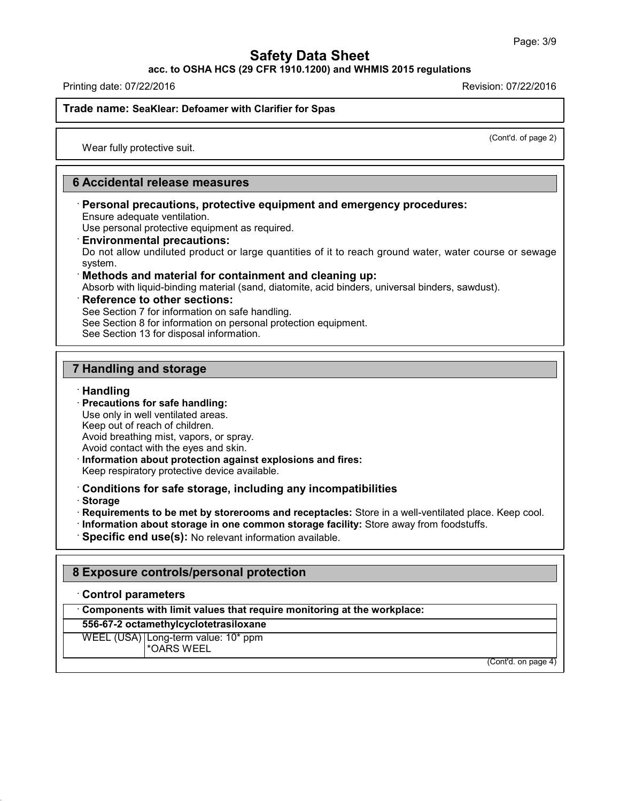**acc. to OSHA HCS (29 CFR 1910.1200) and WHMIS 2015 regulations**

Printing date: 07/22/2016 Revision: 07/22/2016

#### **Trade name: SeaKlear: Defoamer with Clarifier for Spas**

(Cont'd. of page 2)

Wear fully protective suit.

### **6 Accidental release measures**

· **Personal precautions, protective equipment and emergency procedures:** Ensure adequate ventilation.

Use personal protective equipment as required.

· **Environmental precautions:**

Do not allow undiluted product or large quantities of it to reach ground water, water course or sewage system.

#### · **Methods and material for containment and cleaning up:**

Absorb with liquid-binding material (sand, diatomite, acid binders, universal binders, sawdust).

#### · **Reference to other sections:**

See Section 7 for information on safe handling.

See Section 8 for information on personal protection equipment.

See Section 13 for disposal information.

### **7 Handling and storage**

#### · **Handling**

· **Precautions for safe handling:**

Use only in well ventilated areas. Keep out of reach of children. Avoid breathing mist, vapors, or spray. Avoid contact with the eyes and skin.

- · **Information about protection against explosions and fires:** Keep respiratory protective device available.
- · **Conditions for safe storage, including any incompatibilities**
- · **Storage**

43.0

- · **Requirements to be met by storerooms and receptacles:** Store in a well-ventilated place. Keep cool.
- · **Information about storage in one common storage facility:** Store away from foodstuffs.
- · **Specific end use(s):** No relevant information available.

### **8 Exposure controls/personal protection**

#### · **Control parameters**

· **Components with limit values that require monitoring at the workplace:**

## **556-67-2 octamethylcyclotetrasiloxane**

WEEL (USA) Long-term value: 10\* ppm \*OARS WEEL

(Cont'd. on page 4)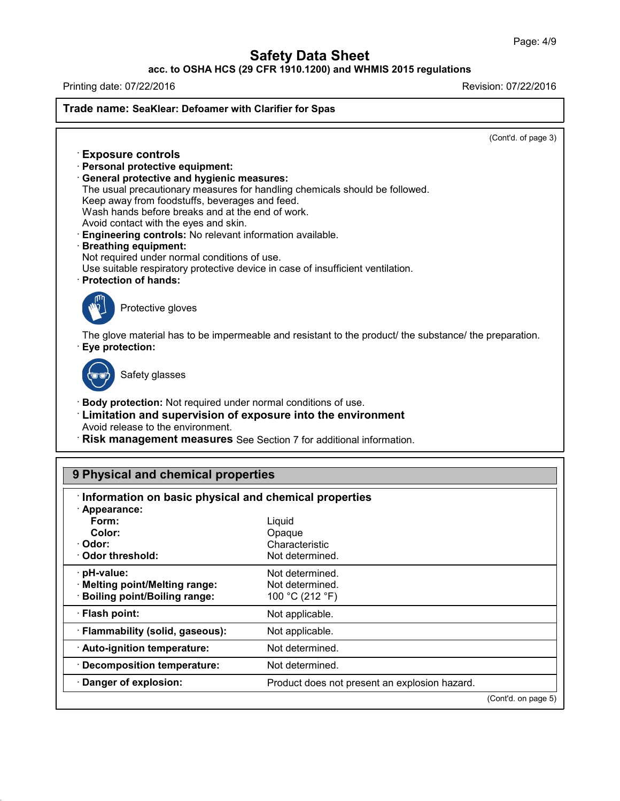## **acc. to OSHA HCS (29 CFR 1910.1200) and WHMIS 2015 regulations**

Printing date: 07/22/2016 Revision: 07/22/2016

43.0

**Trade name: SeaKlear: Defoamer with Clarifier for Spas**

(Cont'd. of page 3)

· **Exposure controls** · **Personal protective equipment:** · **General protective and hygienic measures:** The usual precautionary measures for handling chemicals should be followed. Keep away from foodstuffs, beverages and feed. Wash hands before breaks and at the end of work. Avoid contact with the eyes and skin. · **Engineering controls:** No relevant information available. · **Breathing equipment:** Not required under normal conditions of use. Use suitable respiratory protective device in case of insufficient ventilation. · **Protection of hands:** Protective gloves The glove material has to be impermeable and resistant to the product/ the substance/ the preparation. · **Eye protection:** Safety glasses · **Body protection:** Not required under normal conditions of use. · **Limitation and supervision of exposure into the environment** Avoid release to the environment. · **Risk management measures** See Section 7 for additional information.

| Information on basic physical and chemical properties |                                               |  |
|-------------------------------------------------------|-----------------------------------------------|--|
| · Appearance:                                         |                                               |  |
| Form:                                                 | Liquid                                        |  |
| Color:                                                | Opaque                                        |  |
| · Odor:                                               | Characteristic                                |  |
| Odor threshold:                                       | Not determined.                               |  |
| pH-value:                                             | Not determined.                               |  |
| · Melting point/Melting range:                        | Not determined.                               |  |
| <b>Boiling point/Boiling range:</b>                   | 100 °C (212 °F)                               |  |
| $\cdot$ Flash point:                                  | Not applicable.                               |  |
| · Flammability (solid, gaseous):                      | Not applicable.                               |  |
| · Auto-ignition temperature:                          | Not determined.                               |  |
| · Decomposition temperature:                          | Not determined.                               |  |
| · Danger of explosion:                                | Product does not present an explosion hazard. |  |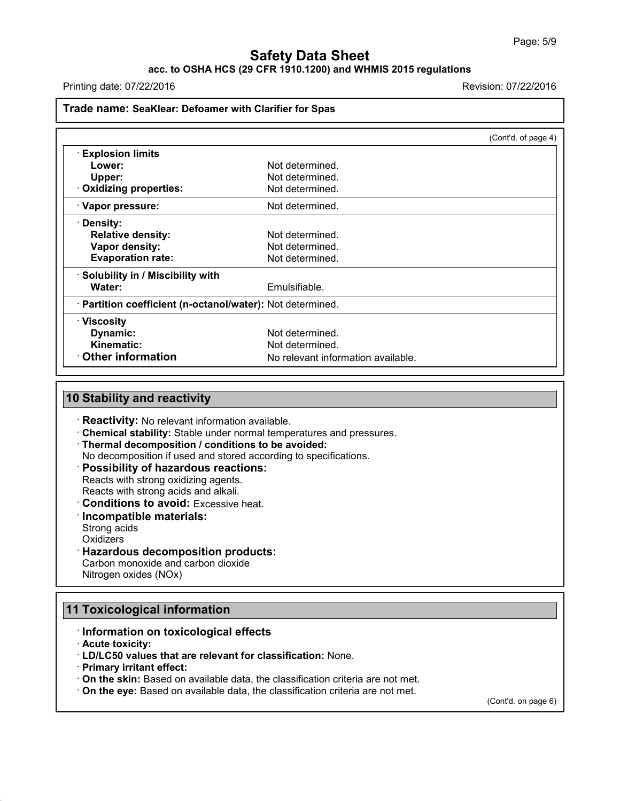### **acc. to OSHA HCS (29 CFR 1910.1200) and WHMIS 2015 regulations**

Printing date: 07/22/2016 Revision: 07/22/2016

### **Trade name: SeaKlear: Defoamer with Clarifier for Spas**

|                                                            |                                    | (Cont'd. of page 4) |
|------------------------------------------------------------|------------------------------------|---------------------|
| <b>Explosion limits</b>                                    |                                    |                     |
| Lower:                                                     | Not determined.                    |                     |
| Upper:                                                     | Not determined.                    |                     |
| · Oxidizing properties:                                    | Not determined.                    |                     |
| · Vapor pressure:                                          | Not determined.                    |                     |
| · Density:                                                 |                                    |                     |
| <b>Relative density:</b>                                   | Not determined.                    |                     |
| Vapor density:                                             | Not determined.                    |                     |
| <b>Evaporation rate:</b>                                   | Not determined.                    |                     |
| · Solubility in / Miscibility with                         |                                    |                     |
| Water:                                                     | Emulsifiable.                      |                     |
| · Partition coefficient (n-octanol/water): Not determined. |                                    |                     |
| $\cdot$ Viscosity                                          |                                    |                     |
| Dynamic:                                                   | Not determined.                    |                     |
| Kinematic:                                                 | Not determined.                    |                     |
| Other information                                          | No relevant information available. |                     |

### **10 Stability and reactivity**

- · **Reactivity:** No relevant information available.
- · **Chemical stability:** Stable under normal temperatures and pressures.
- · **Thermal decomposition / conditions to be avoided:**
- No decomposition if used and stored according to specifications.
- · **Possibility of hazardous reactions:**
- Reacts with strong oxidizing agents.

Reacts with strong acids and alkali.

- · **Conditions to avoid:** Excessive heat.
- · **Incompatible materials:**
- Strong acids
- **Oxidizers**

#### · **Hazardous decomposition products:**

Carbon monoxide and carbon dioxide Nitrogen oxides (NOx)

# **11 Toxicological information**

- · **Information on toxicological effects**
- · **Acute toxicity:**

43.0

- · **LD/LC50 values that are relevant for classification:** None.
- · **Primary irritant effect:**
- · **On the skin:** Based on available data, the classification criteria are not met.
- · **On the eye:** Based on available data, the classification criteria are not met.

(Cont'd. on page 6)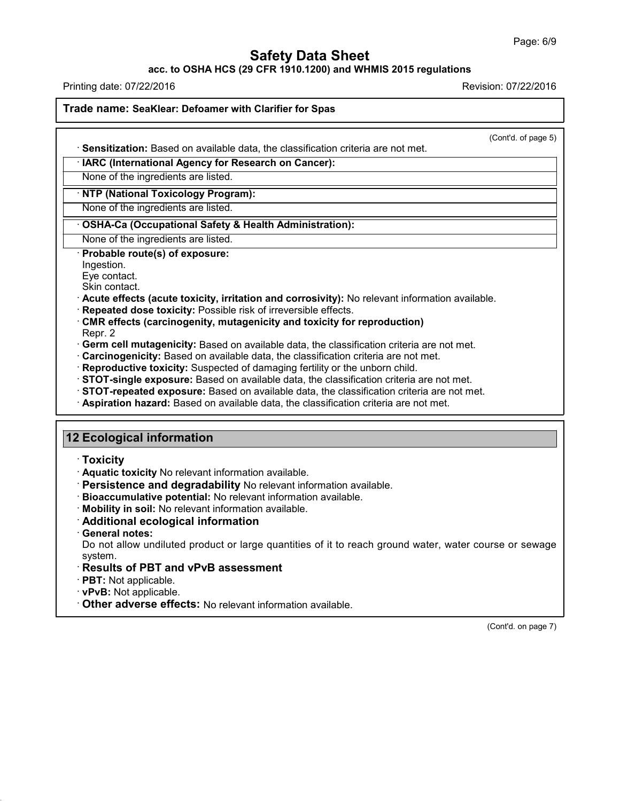**acc. to OSHA HCS (29 CFR 1910.1200) and WHMIS 2015 regulations**

Printing date: 07/22/2016 **Revision: 07/22/2016** 

**Trade name: SeaKlear: Defoamer with Clarifier for Spas**

| (Cont'd. of page 5)<br>· Sensitization: Based on available data, the classification criteria are not met.                                 |  |
|-------------------------------------------------------------------------------------------------------------------------------------------|--|
| · IARC (International Agency for Research on Cancer):                                                                                     |  |
| None of the ingredients are listed.                                                                                                       |  |
| · NTP (National Toxicology Program):                                                                                                      |  |
| None of the ingredients are listed.                                                                                                       |  |
| · OSHA-Ca (Occupational Safety & Health Administration):                                                                                  |  |
| None of the ingredients are listed.                                                                                                       |  |
| Probable route(s) of exposure:                                                                                                            |  |
| Ingestion.                                                                                                                                |  |
| Eye contact.                                                                                                                              |  |
| Skin contact.                                                                                                                             |  |
| · Acute effects (acute toxicity, irritation and corrosivity): No relevant information available.                                          |  |
| Repeated dose toxicity: Possible risk of irreversible effects.<br>CMR effects (carcinogenity, mutagenicity and toxicity for reproduction) |  |
| Repr. 2                                                                                                                                   |  |
| · Germ cell mutagenicity: Based on available data, the classification criteria are not met.                                               |  |
| · Carcinogenicity: Based on available data, the classification criteria are not met.                                                      |  |
| Reproductive toxicity: Suspected of damaging fertility or the unborn child.                                                               |  |
| STOT-single exposure: Based on available data, the classification criteria are not met.                                                   |  |
| · STOT-repeated exposure: Based on available data, the classification criteria are not met.                                               |  |
| · Aspiration hazard: Based on available data, the classification criteria are not met.                                                    |  |
| <b>12 Ecological information</b>                                                                                                          |  |
|                                                                                                                                           |  |
| $\cdot$ Toxicity                                                                                                                          |  |
| · Aquatic toxicity No relevant information available.                                                                                     |  |
| · Persistence and degradability No relevant information available.                                                                        |  |
| Bioaccumulative potential: No relevant information available.                                                                             |  |
| · Mobility in soil: No relevant information available.                                                                                    |  |
| Additional ecological information                                                                                                         |  |
| · General notes:<br>Do not allow undiluted product or large quantities of it to reach ground water, water course or sewage                |  |
| system.                                                                                                                                   |  |
| Results of PBT and vPvB assessment                                                                                                        |  |
| · PBT: Not applicable.                                                                                                                    |  |
| · vPvB: Not applicable.                                                                                                                   |  |

· **Other adverse effects:** No relevant information available.

43.0

(Cont'd. on page 7)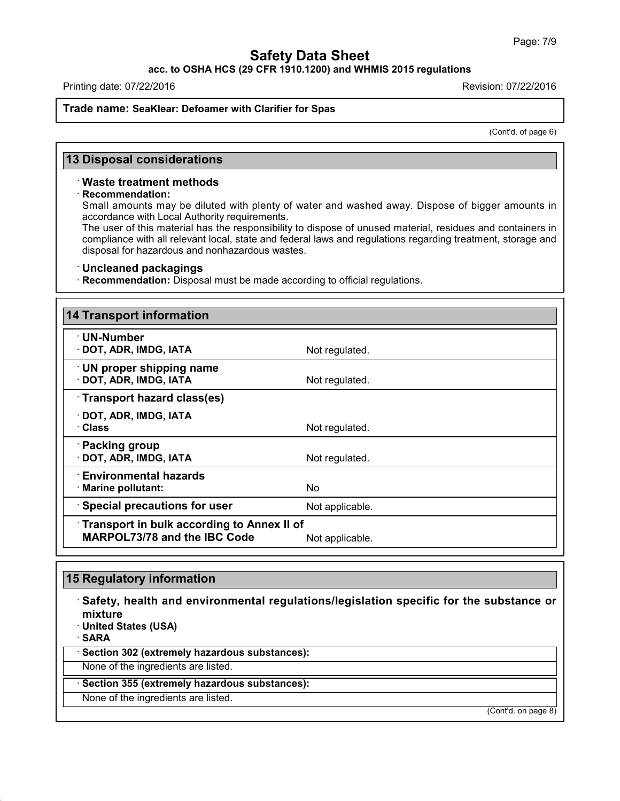**acc. to OSHA HCS (29 CFR 1910.1200) and WHMIS 2015 regulations**

Printing date: 07/22/2016 Revision: 07/22/2016

### **Trade name: SeaKlear: Defoamer with Clarifier for Spas**

(Cont'd. of page 6)

### **13 Disposal considerations**

#### · **Waste treatment methods**

#### · **Recommendation:**

Small amounts may be diluted with plenty of water and washed away. Dispose of bigger amounts in accordance with Local Authority requirements.

The user of this material has the responsibility to dispose of unused material, residues and containers in compliance with all relevant local, state and federal laws and regulations regarding treatment, storage and disposal for hazardous and nonhazardous wastes.

#### · **Uncleaned packagings**

· **Recommendation:** Disposal must be made according to official regulations.

| <b>14 Transport information</b>                                                   |                 |
|-----------------------------------------------------------------------------------|-----------------|
| $\cdot$ UN-Number<br>· DOT, ADR, IMDG, IATA                                       | Not regulated.  |
| · UN proper shipping name<br>· DOT, ADR, IMDG, IATA                               | Not regulated.  |
| Transport hazard class(es)                                                        |                 |
| $\cdot$ DOT, ADR, IMDG, IATA<br>· Class                                           | Not regulated.  |
| · Packing group<br>· DOT, ADR, IMDG, IATA                                         | Not regulated.  |
| $\cdot$ Environmental hazards<br>· Marine pollutant:                              | No.             |
| · Special precautions for user                                                    | Not applicable. |
| Transport in bulk according to Annex II of<br><b>MARPOL73/78 and the IBC Code</b> | Not applicable. |

## **15 Regulatory information**

43.0

· **Safety, health and environmental regulations/legislation specific for the substance or mixture** · **United States (USA)** · **SARA** · **Section 302 (extremely hazardous substances):** None of the ingredients are listed. · **Section 355 (extremely hazardous substances):** None of the ingredients are listed.

(Cont'd. on page 8)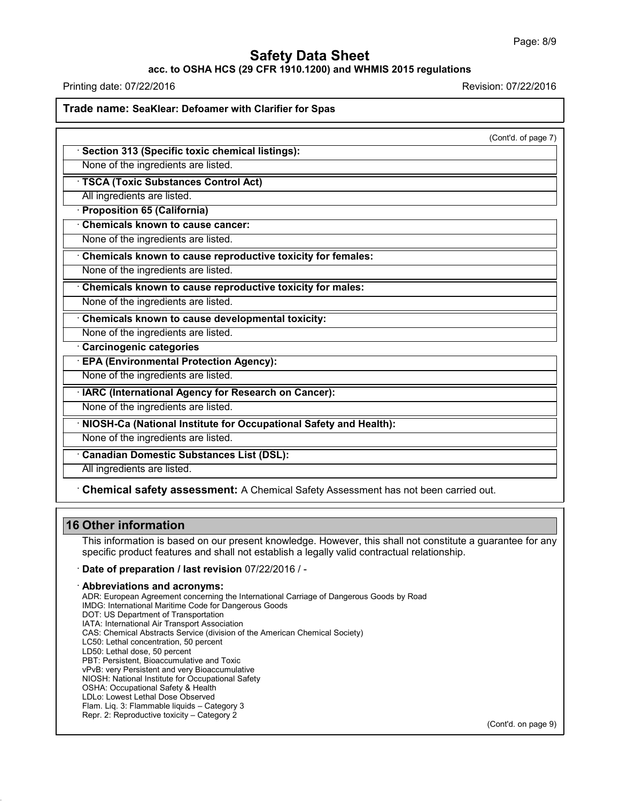### **acc. to OSHA HCS (29 CFR 1910.1200) and WHMIS 2015 regulations**

Printing date: 07/22/2016 Revision: 07/22/2016

**Trade name: SeaKlear: Defoamer with Clarifier for Spas**

|                                                                   | (Cont'd. of page 7) |
|-------------------------------------------------------------------|---------------------|
| Section 313 (Specific toxic chemical listings):                   |                     |
| None of the ingredients are listed.                               |                     |
| <b>TSCA (Toxic Substances Control Act)</b>                        |                     |
| All ingredients are listed.                                       |                     |
| · Proposition 65 (California)                                     |                     |
| <b>Chemicals known to cause cancer:</b>                           |                     |
| None of the ingredients are listed.                               |                     |
| Chemicals known to cause reproductive toxicity for females:       |                     |
| None of the ingredients are listed.                               |                     |
| Chemicals known to cause reproductive toxicity for males:         |                     |
| None of the ingredients are listed.                               |                     |
| Chemicals known to cause developmental toxicity:                  |                     |
| None of the ingredients are listed.                               |                     |
| <b>Carcinogenic categories</b>                                    |                     |
| <b>EPA (Environmental Protection Agency):</b>                     |                     |
| None of the ingredients are listed.                               |                     |
| IARC (International Agency for Research on Cancer):               |                     |
| None of the ingredients are listed.                               |                     |
| NIOSH-Ca (National Institute for Occupational Safety and Health): |                     |
| None of the ingredients are listed.                               |                     |
| <b>Canadian Domestic Substances List (DSL):</b>                   |                     |
| All ingredients are listed.                                       |                     |

### **16 Other information**

43.0

This information is based on our present knowledge. However, this shall not constitute a guarantee for any specific product features and shall not establish a legally valid contractual relationship.

· **Date of preparation / last revision** 07/22/2016 / -

#### · **Abbreviations and acronyms:**

ADR: European Agreement concerning the International Carriage of Dangerous Goods by Road IMDG: International Maritime Code for Dangerous Goods DOT: US Department of Transportation IATA: International Air Transport Association CAS: Chemical Abstracts Service (division of the American Chemical Society) LC50: Lethal concentration, 50 percent LD50: Lethal dose, 50 percent PBT: Persistent, Bioaccumulative and Toxic vPvB: very Persistent and very Bioaccumulative NIOSH: National Institute for Occupational Safety OSHA: Occupational Safety & Health LDLo: Lowest Lethal Dose Observed Flam. Liq. 3: Flammable liquids – Category 3 Repr. 2: Reproductive toxicity – Category 2

(Cont'd. on page 9)